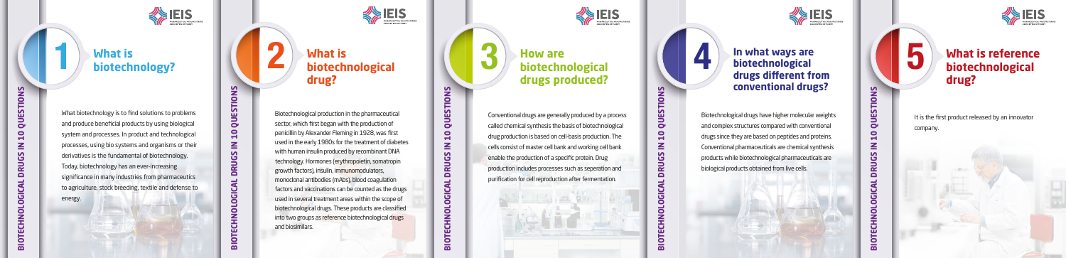Biotechnological production in the pharmaceutical sector, which first began with the production of penicillin by Alexander Fleming in 1928, was first used in the early 1980s for the treatment of diabetes with human insulin produced by recombinant DNA technology. Hormones (erythropoietin, somatropin growth factors), insulin, immunomodulators, monoclonal antibodies (mAbs), blood coagulation factors and vaccinations can be counted as the drugs used in several treatment areas within the scope of biotechnological drugs. These products are classified into two groups as reference biotechnological drugs and biosimilars.

Conventional drugs are generally produced by a process called chemical synthesis the basis of biotechnological drug production is based on cell-basis production. The cells consist of master cell bank and working cell bank enable the production of a specific protein. Drug production includes processes such as seperation and purification for cell reproduction after fermentation.

#### **4** In what ways are biotechnological drugs different from **In what ways are <br>biotechnological and all the set of the set of the set of the set of the set of the set of the set of the set of the set of the set of the set of the set of the set of the set of the set of the set of th biotechnological drugs different from conventional drugs?**

 $\bar{\bar{\pi}}$ 



**BIOTECHNOLOGICAL DRUGS IN 10 QUESTIONS QUEST**  $\overline{\mathbf{C}}$  $\leq$ **DRUGS** 迃 OLO z EGH  $\overline{\mathbf{m}}$ 



Biotechnological drugs have higher molecular weights and complex structures compared with conventional drugs since they are based on peptides and proteins. Conventional pharmaceuticals are chemical synthesis products while biotechnological pharmaceuticals are biological products obtained from live cells.

 $\overline{2}$ **BIOTECHNOLOGICAL DRUGS IN 10 QUESTIONS** $\bullet$ pues  $\bullet$  $\mathbf{z}$ ပ္ပ  $\overline{R}$  $\Box$ **BIOTECH** 



It is the first product released by an innovator company.

What biotechnology is to find solutions to problems and produce beneficial products by using biological system and processes. In product and technological processes, using bio systems and organisms or their derivatives is the fundamental of biotechnology. Today, biotechnology has an ever-increasing significance in many industries from pharmaceutics to agriculture, stock breeding, textile and defense to energy.

### **What is 1 biotechnology?**

## **2 What is biotechnological drug?**

SOCIATION OF TUREY

**3 How are biotechnological drugs produced?**

## **biotechnological drug?**

**BIOTECHNOLOGICAL DRUGS IN 10 QUESTIONS**

**DRUGS** 

**GICAL** 

 $\bullet$ 

ō

Ĕ

 $\mathbf{F}$ 

BIO<sup>-</sup>

 $\bullet$ 

QUESTIO

 $\overline{\mathbf{u}}$ 

 $\leq$ 

**BIOTECHNOLOGICAL DRUGS IN 10 QUESTIONS**

 $\overline{a}$ Ō.  $\overline{5}$ 

ಕ

**ECHA** 

<u>Б</u>

**DRUGS** 

<u>ទ្ធ</u>

 $\bullet$ 

**QUEST** 

 $\bullet$ 

 $\mathbf{\bar{H}}$ 

 $\leq$